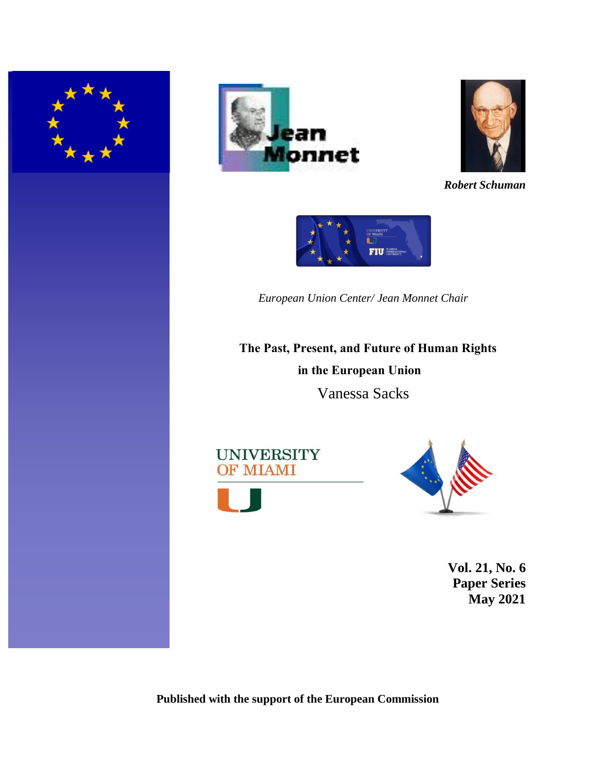





*Robert Schuman*



*European Union Center/ Jean Monnet Chair*

**The Past, Present, and Future of Human Rights in the European Union** Vanessa Sacks





**Vol. 21, No. 6 Paper Series May 2021**

**Published with the support of the European Commission**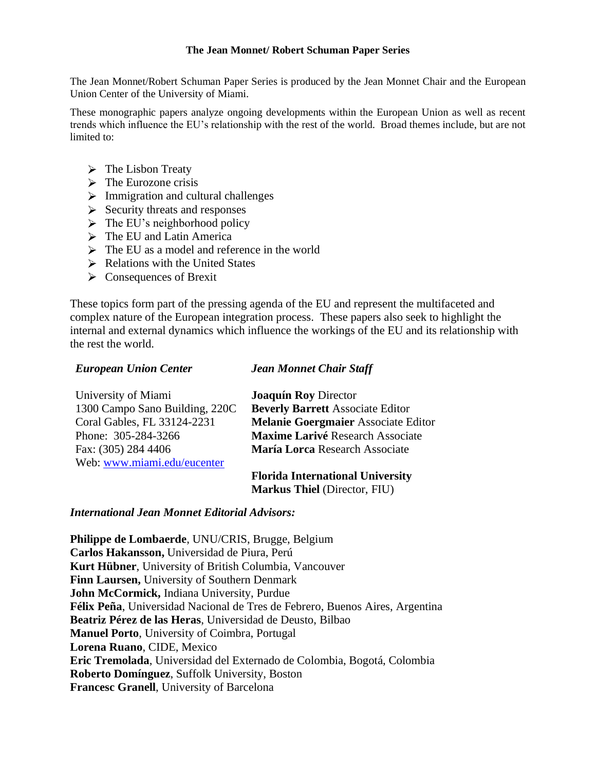### **The Jean Monnet/ Robert Schuman Paper Series**

The Jean Monnet/Robert Schuman Paper Series is produced by the Jean Monnet Chair and the European Union Center of the University of Miami.

These monographic papers analyze ongoing developments within the European Union as well as recent trends which influence the EU's relationship with the rest of the world. Broad themes include, but are not limited to:

- $\triangleright$  The Lisbon Treaty
- $\triangleright$  The Eurozone crisis
- $\triangleright$  Immigration and cultural challenges
- $\triangleright$  Security threats and responses
- $\triangleright$  The EU's neighborhood policy
- > The EU and Latin America
- $\triangleright$  The EU as a model and reference in the world
- $\triangleright$  Relations with the United States
- $\triangleright$  Consequences of Brexit

These topics form part of the pressing agenda of the EU and represent the multifaceted and complex nature of the European integration process. These papers also seek to highlight the internal and external dynamics which influence the workings of the EU and its relationship with the rest the world.

# *European Union Center*

## *Jean Monnet Chair Staff*

| University of Miami            | <b>Joaquín Roy Director</b>                |
|--------------------------------|--------------------------------------------|
| 1300 Campo Sano Building, 220C | <b>Beverly Barrett Associate Editor</b>    |
| Coral Gables, FL 33124-2231    | <b>Melanie Goergmaier Associate Editor</b> |
| Phone: 305-284-3266            | <b>Maxime Larivé Research Associate</b>    |
| Fax: (305) 284 4406            | María Lorca Research Associate             |
| Web: www.miami.edu/eucenter    |                                            |
|                                | Flazida International Huisendts            |

**Florida International University Markus Thiel** (Director, FIU)

# *International Jean Monnet Editorial Advisors:*

**Philippe de Lombaerde**, UNU/CRIS, Brugge, Belgium **Carlos Hakansson,** Universidad de Piura, Perú **Kurt Hübner**, University of British Columbia, Vancouver **Finn Laursen,** University of Southern Denmark **John McCormick,** Indiana University, Purdue **Félix Peña**, Universidad Nacional de Tres de Febrero, Buenos Aires, Argentina **Beatriz Pérez de las Heras**, Universidad de Deusto, Bilbao **Manuel Porto**, University of Coimbra, Portugal **Lorena Ruano**, CIDE, Mexico **Eric Tremolada**, Universidad del Externado de Colombia, Bogotá, Colombia **Roberto Domínguez**, Suffolk University, Boston **Francesc Granell**, University of Barcelona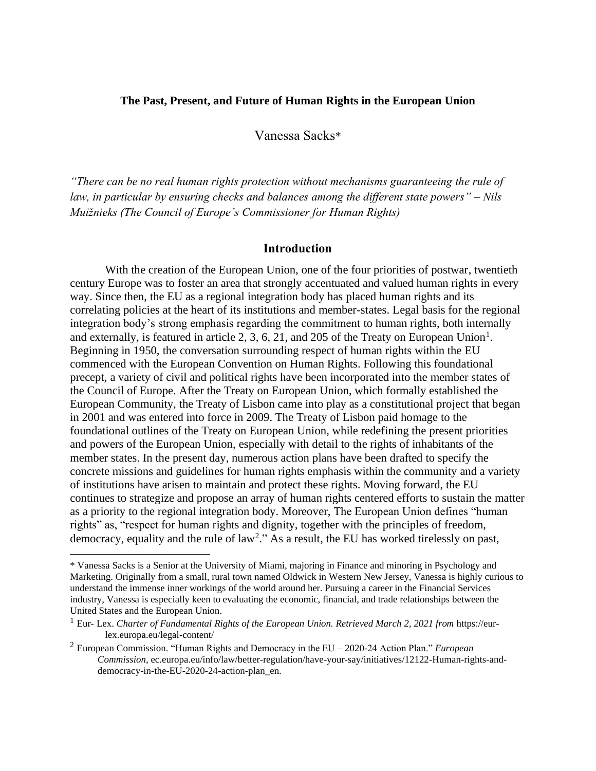#### **The Past, Present, and Future of Human Rights in the European Union**

Vanessa Sacks\*

*"There can be no real human rights protection without mechanisms guaranteeing the rule of law, in particular by ensuring checks and balances among the different state powers" – Nils Muižnieks (The Council of Europe's Commissioner for Human Rights)*

## **Introduction**

With the creation of the European Union, one of the four priorities of postwar, twentieth century Europe was to foster an area that strongly accentuated and valued human rights in every way. Since then, the EU as a regional integration body has placed human rights and its correlating policies at the heart of its institutions and member-states. Legal basis for the regional integration body's strong emphasis regarding the commitment to human rights, both internally and externally, is featured in article 2, 3, 6, 21, and 205 of the Treaty on European Union<sup>1</sup>. Beginning in 1950, the conversation surrounding respect of human rights within the EU commenced with the European Convention on Human Rights. Following this foundational precept, a variety of civil and political rights have been incorporated into the member states of the Council of Europe. After the Treaty on European Union, which formally established the European Community, the Treaty of Lisbon came into play as a constitutional project that began in 2001 and was entered into force in 2009. The Treaty of Lisbon paid homage to the foundational outlines of the Treaty on European Union, while redefining the present priorities and powers of the European Union, especially with detail to the rights of inhabitants of the member states. In the present day, numerous action plans have been drafted to specify the concrete missions and guidelines for human rights emphasis within the community and a variety of institutions have arisen to maintain and protect these rights. Moving forward, the EU continues to strategize and propose an array of human rights centered efforts to sustain the matter as a priority to the regional integration body. Moreover, The European Union defines "human rights" as, "respect for human rights and dignity, together with the principles of freedom, democracy, equality and the rule of law<sup>2</sup>." As a result, the EU has worked tirelessly on past,

<sup>\*</sup> Vanessa Sacks is a Senior at the University of Miami, majoring in Finance and minoring in Psychology and Marketing. Originally from a small, rural town named Oldwick in Western New Jersey, Vanessa is highly curious to understand the immense inner workings of the world around her. Pursuing a career in the Financial Services industry, Vanessa is especially keen to evaluating the economic, financial, and trade relationships between the United States and the European Union.

<sup>1</sup> Eur- Lex. *Charter of Fundamental Rights of the European Union. Retrieved March 2, 2021 from* https://eurlex.europa.eu/legal-content/

<sup>2</sup> European Commission. "Human Rights and Democracy in the EU – 2020-24 Action Plan." *European Commission*, ec.europa.eu/info/law/better-regulation/have-your-say/initiatives/12122-Human-rights-anddemocracy-in-the-EU-2020-24-action-plan\_en.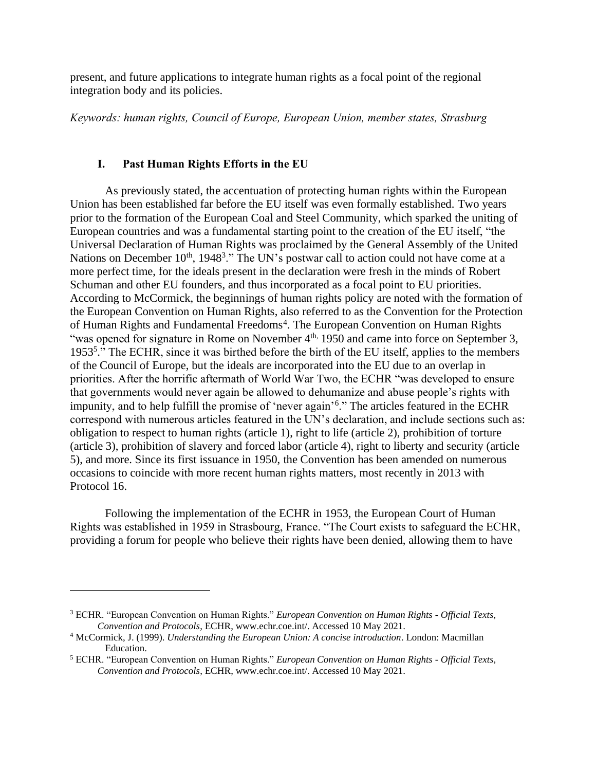present, and future applications to integrate human rights as a focal point of the regional integration body and its policies.

*Keywords: human rights, Council of Europe, European Union, member states, Strasburg*

#### **I. Past Human Rights Efforts in the EU**

As previously stated, the accentuation of protecting human rights within the European Union has been established far before the EU itself was even formally established. Two years prior to the formation of the European Coal and Steel Community, which sparked the uniting of European countries and was a fundamental starting point to the creation of the EU itself, "the Universal Declaration of Human Rights was proclaimed by the General Assembly of the United Nations on December 10<sup>th</sup>, 1948<sup>3</sup>." The UN's postwar call to action could not have come at a more perfect time, for the ideals present in the declaration were fresh in the minds of Robert Schuman and other EU founders, and thus incorporated as a focal point to EU priorities. According to McCormick, the beginnings of human rights policy are noted with the formation of the European Convention on Human Rights, also referred to as the Convention for the Protection of Human Rights and Fundamental Freedoms<sup>4</sup>. The European Convention on Human Rights "was opened for signature in Rome on November 4<sup>th,</sup> 1950 and came into force on September 3, 1953<sup>5</sup>." The ECHR, since it was birthed before the birth of the EU itself, applies to the members of the Council of Europe, but the ideals are incorporated into the EU due to an overlap in priorities. After the horrific aftermath of World War Two, the ECHR "was developed to ensure that governments would never again be allowed to dehumanize and abuse people's rights with impunity, and to help fulfill the promise of 'never again'<sup>6</sup> ." The articles featured in the ECHR correspond with numerous articles featured in the UN's declaration, and include sections such as: obligation to respect to human rights (article 1), right to life (article 2), prohibition of torture (article 3), prohibition of slavery and forced labor (article 4), right to liberty and security (article 5), and more. Since its first issuance in 1950, the Convention has been amended on numerous occasions to coincide with more recent human rights matters, most recently in 2013 with Protocol 16.

Following the implementation of the ECHR in 1953, the European Court of Human Rights was established in 1959 in Strasbourg, France. "The Court exists to safeguard the ECHR, providing a forum for people who believe their rights have been denied, allowing them to have

<sup>3</sup> ECHR. "European Convention on Human Rights." *European Convention on Human Rights - Official Texts, Convention and Protocols*, ECHR, www.echr.coe.int/. Accessed 10 May 2021.

<sup>4</sup> McCormick, J. (1999). *Understanding the European Union: A concise introduction*. London: Macmillan Education.

<sup>5</sup> ECHR. "European Convention on Human Rights." *European Convention on Human Rights - Official Texts, Convention and Protocols*, ECHR, www.echr.coe.int/. Accessed 10 May 2021.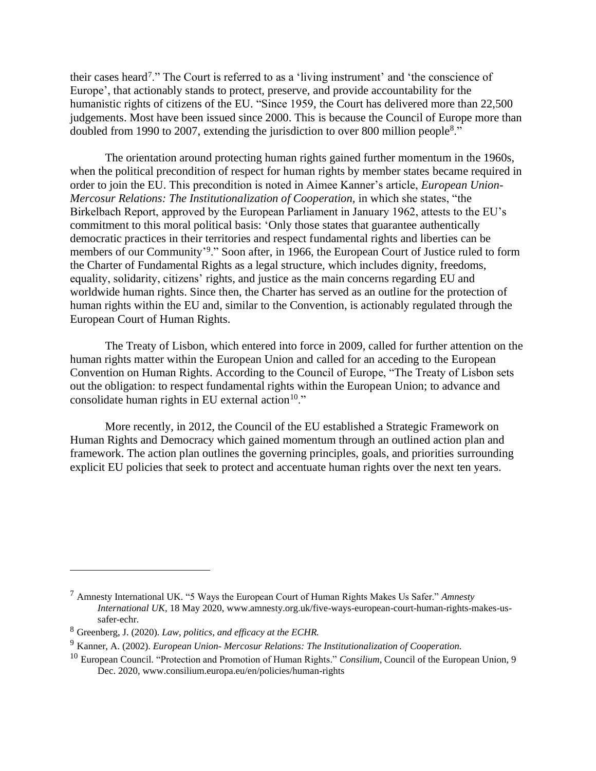their cases heard<sup>7</sup>." The Court is referred to as a 'living instrument' and 'the conscience of Europe', that actionably stands to protect, preserve, and provide accountability for the humanistic rights of citizens of the EU. "Since 1959, the Court has delivered more than 22,500 judgements. Most have been issued since 2000. This is because the Council of Europe more than doubled from 1990 to 2007, extending the jurisdiction to over 800 million people<sup>8</sup>."

The orientation around protecting human rights gained further momentum in the 1960s, when the political precondition of respect for human rights by member states became required in order to join the EU. This precondition is noted in Aimee Kanner's article, *European Union-Mercosur Relations: The Institutionalization of Cooperation,* in which she states, "the Birkelbach Report, approved by the European Parliament in January 1962, attests to the EU's commitment to this moral political basis: 'Only those states that guarantee authentically democratic practices in their territories and respect fundamental rights and liberties can be members of our Community'<sup>9</sup>." Soon after, in 1966, the European Court of Justice ruled to form the Charter of Fundamental Rights as a legal structure, which includes dignity, freedoms, equality, solidarity, citizens' rights, and justice as the main concerns regarding EU and worldwide human rights. Since then, the Charter has served as an outline for the protection of human rights within the EU and, similar to the Convention, is actionably regulated through the European Court of Human Rights.

The Treaty of Lisbon, which entered into force in 2009, called for further attention on the human rights matter within the European Union and called for an acceding to the European Convention on Human Rights. According to the Council of Europe, "The Treaty of Lisbon sets out the obligation: to respect fundamental rights within the European Union; to advance and consolidate human rights in EU external action<sup>10."</sup>

More recently, in 2012, the Council of the EU established a Strategic Framework on Human Rights and Democracy which gained momentum through an outlined action plan and framework. The action plan outlines the governing principles, goals, and priorities surrounding explicit EU policies that seek to protect and accentuate human rights over the next ten years.

<sup>7</sup> Amnesty International UK. "5 Ways the European Court of Human Rights Makes Us Safer." *Amnesty International UK*, 18 May 2020, www.amnesty.org.uk/five-ways-european-court-human-rights-makes-ussafer-echr.

<sup>8</sup> Greenberg, J. (2020)*. Law, politics, and efficacy at the ECHR.*

<sup>9</sup> Kanner, A. (2002). *European Union- Mercosur Relations: The Institutionalization of Cooperation.*

<sup>10</sup> European Council. "Protection and Promotion of Human Rights." *Consilium*, Council of the European Union, 9 Dec. 2020, www.consilium.europa.eu/en/policies/human-rights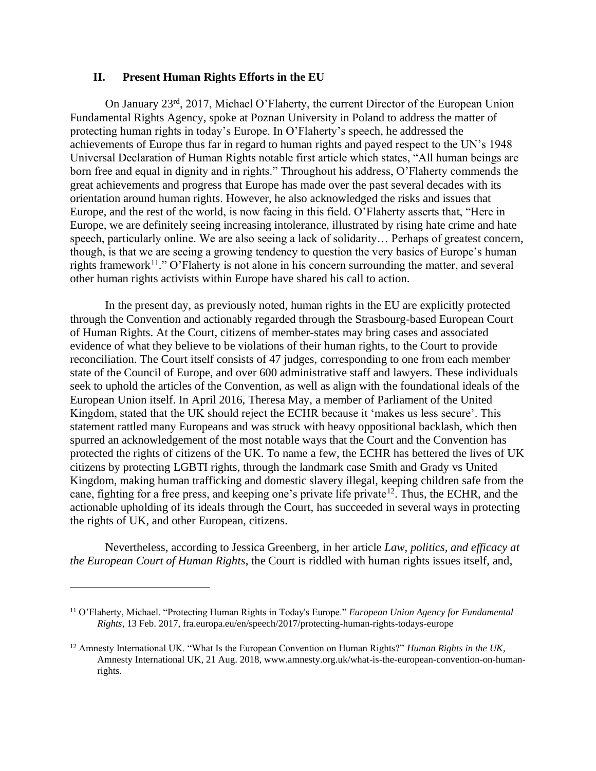#### **II. Present Human Rights Efforts in the EU**

On January 23rd, 2017, Michael O'Flaherty, the current Director of the European Union Fundamental Rights Agency, spoke at Poznan University in Poland to address the matter of protecting human rights in today's Europe. In O'Flaherty's speech, he addressed the achievements of Europe thus far in regard to human rights and payed respect to the UN's 1948 Universal Declaration of Human Rights notable first article which states, "All human beings are born free and equal in dignity and in rights." Throughout his address, O'Flaherty commends the great achievements and progress that Europe has made over the past several decades with its orientation around human rights. However, he also acknowledged the risks and issues that Europe, and the rest of the world, is now facing in this field. O'Flaherty asserts that, "Here in Europe, we are definitely seeing increasing intolerance, illustrated by rising hate crime and hate speech, particularly online. We are also seeing a lack of solidarity… Perhaps of greatest concern, though, is that we are seeing a growing tendency to question the very basics of Europe's human rights framework<sup>11</sup>." O'Flaherty is not alone in his concern surrounding the matter, and several other human rights activists within Europe have shared his call to action.

In the present day, as previously noted, human rights in the EU are explicitly protected through the Convention and actionably regarded through the Strasbourg-based European Court of Human Rights. At the Court, citizens of member-states may bring cases and associated evidence of what they believe to be violations of their human rights, to the Court to provide reconciliation. The Court itself consists of 47 judges, corresponding to one from each member state of the Council of Europe, and over 600 administrative staff and lawyers. These individuals seek to uphold the articles of the Convention, as well as align with the foundational ideals of the European Union itself. In April 2016, Theresa May, a member of Parliament of the United Kingdom, stated that the UK should reject the ECHR because it 'makes us less secure'. This statement rattled many Europeans and was struck with heavy oppositional backlash, which then spurred an acknowledgement of the most notable ways that the Court and the Convention has protected the rights of citizens of the UK. To name a few, the ECHR has bettered the lives of UK citizens by protecting LGBTI rights, through the landmark case Smith and Grady vs United Kingdom, making human trafficking and domestic slavery illegal, keeping children safe from the cane, fighting for a free press, and keeping one's private life private<sup>12</sup>. Thus, the ECHR, and the actionable upholding of its ideals through the Court, has succeeded in several ways in protecting the rights of UK, and other European, citizens.

Nevertheless, according to Jessica Greenberg, in her article *Law, politics, and efficacy at the European Court of Human Rights*, the Court is riddled with human rights issues itself, and,

<sup>11</sup> O'Flaherty, Michael. "Protecting Human Rights in Today's Europe." *European Union Agency for Fundamental Rights*, 13 Feb. 2017, fra.europa.eu/en/speech/2017/protecting-human-rights-todays-europe

<sup>12</sup> Amnesty International UK. "What Is the European Convention on Human Rights?" *Human Rights in the UK*, Amnesty International UK, 21 Aug. 2018, www.amnesty.org.uk/what-is-the-european-convention-on-humanrights.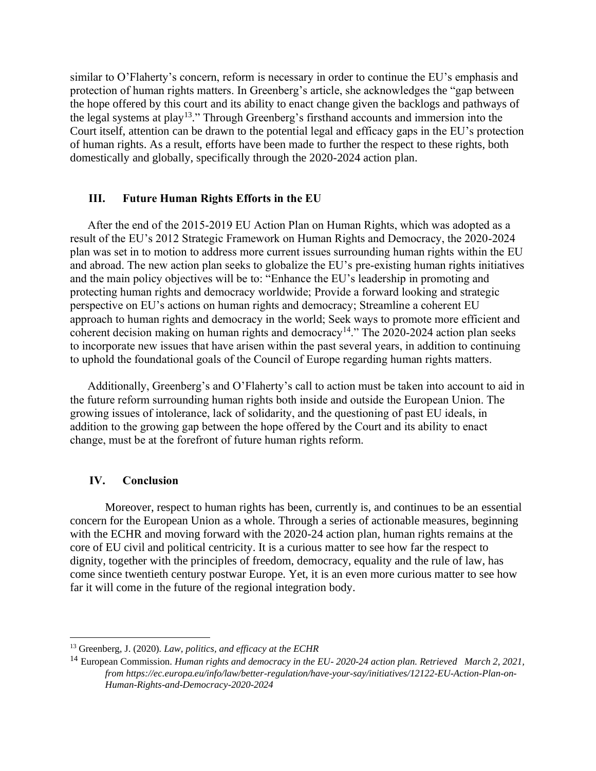similar to O'Flaherty's concern, reform is necessary in order to continue the EU's emphasis and protection of human rights matters. In Greenberg's article, she acknowledges the "gap between the hope offered by this court and its ability to enact change given the backlogs and pathways of the legal systems at play<sup>13</sup>." Through Greenberg's firsthand accounts and immersion into the Court itself, attention can be drawn to the potential legal and efficacy gaps in the EU's protection of human rights. As a result, efforts have been made to further the respect to these rights, both domestically and globally, specifically through the 2020-2024 action plan.

### **III. Future Human Rights Efforts in the EU**

After the end of the 2015-2019 EU Action Plan on Human Rights, which was adopted as a result of the EU's 2012 Strategic Framework on Human Rights and Democracy, the 2020-2024 plan was set in to motion to address more current issues surrounding human rights within the EU and abroad. The new action plan seeks to globalize the EU's pre-existing human rights initiatives and the main policy objectives will be to: "Enhance the EU's leadership in promoting and protecting human rights and democracy worldwide; Provide a forward looking and strategic perspective on EU's actions on human rights and democracy; Streamline a coherent EU approach to human rights and democracy in the world; Seek ways to promote more efficient and coherent decision making on human rights and democracy<sup>14</sup>." The 2020-2024 action plan seeks to incorporate new issues that have arisen within the past several years, in addition to continuing to uphold the foundational goals of the Council of Europe regarding human rights matters.

Additionally, Greenberg's and O'Flaherty's call to action must be taken into account to aid in the future reform surrounding human rights both inside and outside the European Union. The growing issues of intolerance, lack of solidarity, and the questioning of past EU ideals, in addition to the growing gap between the hope offered by the Court and its ability to enact change, must be at the forefront of future human rights reform.

#### **IV. Conclusion**

Moreover, respect to human rights has been, currently is, and continues to be an essential concern for the European Union as a whole. Through a series of actionable measures, beginning with the ECHR and moving forward with the 2020-24 action plan, human rights remains at the core of EU civil and political centricity. It is a curious matter to see how far the respect to dignity, together with the principles of freedom, democracy, equality and the rule of law, has come since twentieth century postwar Europe. Yet, it is an even more curious matter to see how far it will come in the future of the regional integration body.

<sup>13</sup> Greenberg, J. (2020)*. Law, politics, and efficacy at the ECHR*

<sup>14</sup> European Commission. *Human rights and democracy in the EU- 2020-24 action plan. Retrieved March 2, 2021, from https://ec.europa.eu/info/law/better-regulation/have-your-say/initiatives/12122-EU-Action-Plan-on-Human-Rights-and-Democracy-2020-2024*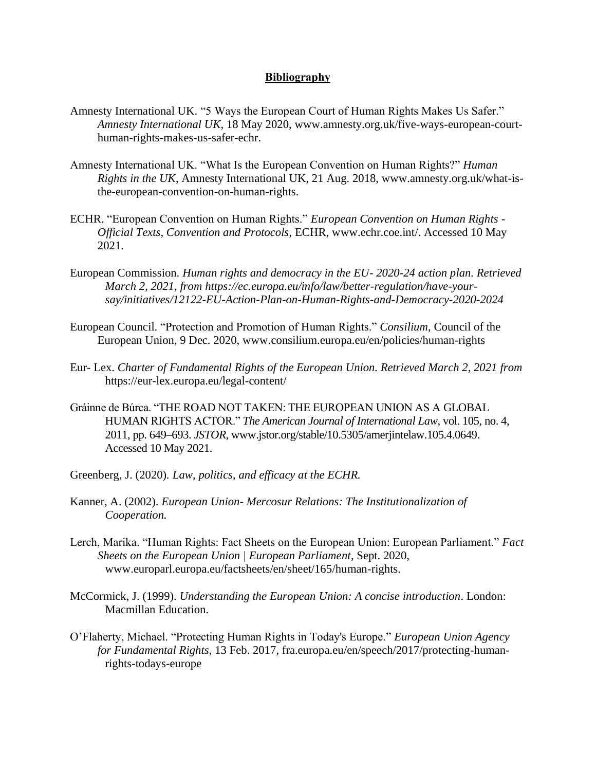## **Bibliography**

- Amnesty International UK. "5 Ways the European Court of Human Rights Makes Us Safer." *Amnesty International UK*, 18 May 2020, www.amnesty.org.uk/five-ways-european-courthuman-rights-makes-us-safer-echr.
- Amnesty International UK. "What Is the European Convention on Human Rights?" *Human Rights in the UK*, Amnesty International UK, 21 Aug. 2018, www.amnesty.org.uk/what-isthe-european-convention-on-human-rights.
- ECHR. "European Convention on Human Rights." *European Convention on Human Rights - Official Texts, Convention and Protocols*, ECHR, www.echr.coe.int/. Accessed 10 May 2021.
- European Commission. *Human rights and democracy in the EU- 2020-24 action plan. Retrieved March 2, 2021, from https://ec.europa.eu/info/law/better-regulation/have-yoursay/initiatives/12122-EU-Action-Plan-on-Human-Rights-and-Democracy-2020-2024*
- European Council. "Protection and Promotion of Human Rights." *Consilium*, Council of the European Union, 9 Dec. 2020, www.consilium.europa.eu/en/policies/human-rights
- Eur- Lex. *Charter of Fundamental Rights of the European Union. Retrieved March 2, 2021 from* https://eur-lex.europa.eu/legal-content/
- Gráinne de Búrca. "THE ROAD NOT TAKEN: THE EUROPEAN UNION AS A GLOBAL HUMAN RIGHTS ACTOR." *The American Journal of International Law*, vol. 105, no. 4, 2011, pp. 649–693. *JSTOR*, www.jstor.org/stable/10.5305/amerjintelaw.105.4.0649. Accessed 10 May 2021.
- Greenberg, J. (2020)*. Law, politics, and efficacy at the ECHR.*
- Kanner, A. (2002). *European Union- Mercosur Relations: The Institutionalization of Cooperation.*
- Lerch, Marika. "Human Rights: Fact Sheets on the European Union: European Parliament." *Fact Sheets on the European Union | European Parliament*, Sept. 2020, www.europarl.europa.eu/factsheets/en/sheet/165/human-rights.
- McCormick, J. (1999). *Understanding the European Union: A concise introduction*. London: Macmillan Education.
- O'Flaherty, Michael. "Protecting Human Rights in Today's Europe." *European Union Agency for Fundamental Rights*, 13 Feb. 2017, fra.europa.eu/en/speech/2017/protecting-humanrights-todays-europe